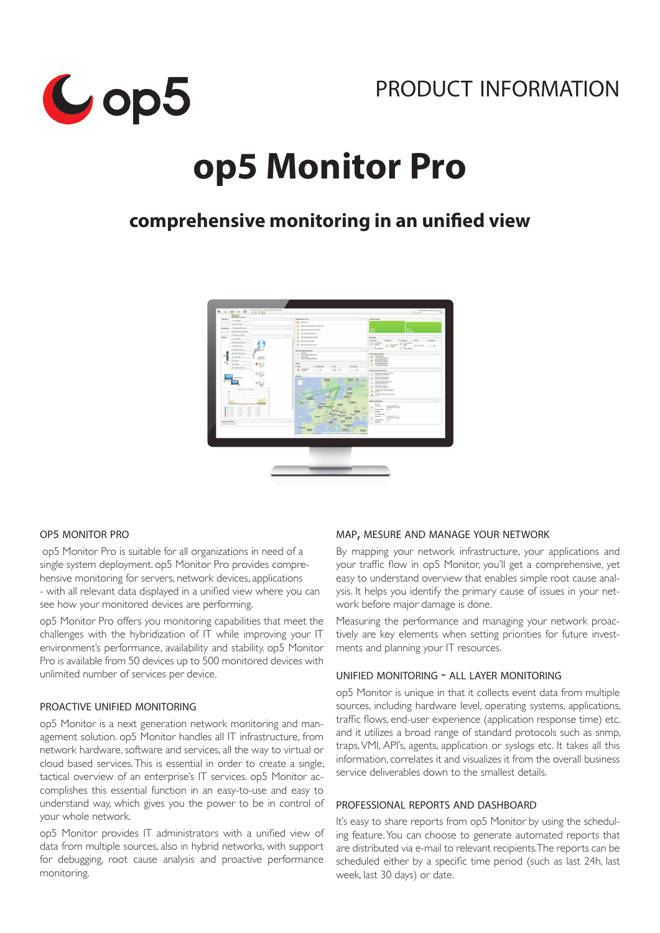



# **op5 Monitor Pro**

# **comprehensive monitoring in an unified view**



#### op5 monitor pro

op5 Monitor Pro is suitable for all organizations in need of a single system deployment. op5 Monitor Pro provides comprehensive monitoring for servers, network devices, applications - with all relevant data displayed in a unified view where you can see how your monitored devices are performing.

op5 Monitor Pro offers you monitoring capabilities that meet the challenges with the hybridization of IT while improving your IT environment's performance, availability and stability. op5 Monitor Pro is available from 50 devices up to 500 monitored devices with unlimited number of services per device.

# proactive unified monitoring

op5 Monitor is a next generation network monitoring and management solution. op5 Monitor handles all IT infrastructure, from network hardware, software and services, all the way to virtual or cloud based services. This is essential in order to create a single, tactical overview of an enterprise's IT services. op5 Monitor accomplishes this essential function in an easy-to-use and easy to understand way, which gives you the power to be in control of your whole network.

op5 Monitor provides IT administrators with a unified view of data from multiple sources, also in hybrid networks, with support for debugging, root cause analysis and proactive performance monitoring.

#### map, mesure and manage your network

By mapping your network infrastructure, your applications and your traffic flow in op5 Monitor, you'll get a comprehensive, yet easy to understand overview that enables simple root cause analysis. It helps you identify the primary cause of issues in your network before major damage is done.

Measuring the performance and managing your network proactively are key elements when setting priorities for future investments and planning your IT resources.

#### unified monitoring - all layer monitoring

op5 Monitor is unique in that it collects event data from multiple sources, including hardware level, operating systems, applications, traffic flows, end-user experience (application response time) etc. and it utilizes a broad range of standard protocols such as snmp, traps, VMI, API's, agents, application or syslogs etc. It takes all this information, correlates it and visualizes it from the overall business service deliverables down to the smallest details.

#### professional reports and dashboard

It's easy to share reports from op5 Monitor by using the scheduling feature. You can choose to generate automated reports that are distributed via e-mail to relevant recipients.The reports can be scheduled either by a specific time period (such as last 24h, last week, last 30 days) or date.